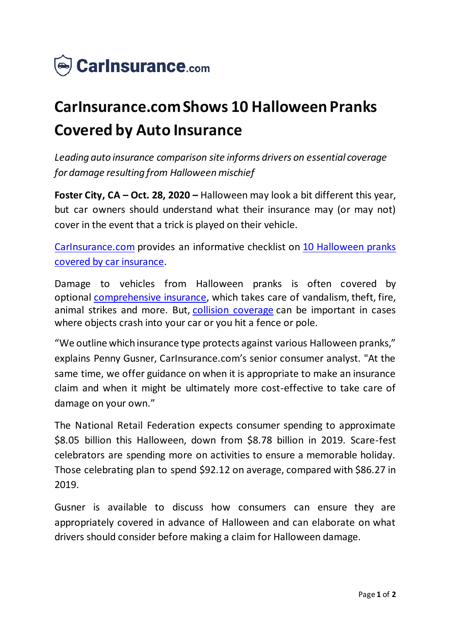

## **CarInsurance.com Shows 10 Halloween Pranks Covered by Auto Insurance**

*Leading auto insurance comparison site informs drivers on essential coverage for damage resulting from Halloween mischief*

**Foster City, CA – Oct. 28, 2020 –** Halloween may look a bit different this year, but car owners should understand what their insurance may (or may not) cover in the event that a trick is played on their vehicle.

[CarInsurance.com](https://www.carinsurance.com/) provides an informative checklist on [10 Halloween pranks](https://www.carinsurance.com/Articles/insurance-claims/10-halloween-pranks-covered-by-car-insurance.aspx)  [covered by car insurance](https://www.carinsurance.com/Articles/insurance-claims/10-halloween-pranks-covered-by-car-insurance.aspx).

Damage to vehicles from Halloween pranks is often covered by optional [comprehensive insurance](https://www.carinsurance.com/types-of-car-insurance/comprehensive.aspx), which takes care of vandalism, theft, fire, animal strikes and more. But, [collision coverage](https://www.carinsurance.com/what-is-collision-coverage-insurance) can be important in cases where objects crash into your car or you hit a fence or pole.

"We outline which insurance type protects against various Halloween pranks," explains Penny Gusner, CarInsurance.com's senior consumer analyst. "At the same time, we offer guidance on when it is appropriate to make an insurance claim and when it might be ultimately more cost-effective to take care of damage on your own."

The National Retail Federation expects consumer spending to approximate \$8.05 billion this Halloween, down from \$8.78 billion in 2019. Scare-fest celebrators are spending more on activities to ensure a memorable holiday. Those celebrating plan to spend \$92.12 on average, compared with \$86.27 in 2019.

Gusner is available to discuss how consumers can ensure they are appropriately covered in advance of Halloween and can elaborate on what drivers should consider before making a claim for Halloween damage.